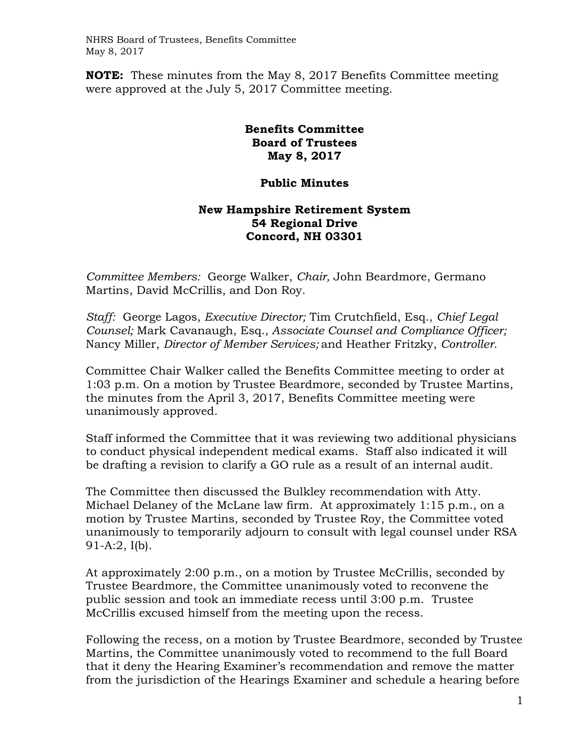NHRS Board of Trustees, Benefits Committee May 8, 2017

**NOTE:** These minutes from the May 8, 2017 Benefits Committee meeting were approved at the July 5, 2017 Committee meeting.

## **Benefits Committee Board of Trustees May 8, 2017**

## **Public Minutes**

## **New Hampshire Retirement System 54 Regional Drive Concord, NH 03301**

*Committee Members:* George Walker, *Chair,* John Beardmore, Germano Martins, David McCrillis, and Don Roy.

*Staff:* George Lagos, *Executive Director;* Tim Crutchfield, Esq., *Chief Legal Counsel;* Mark Cavanaugh, Esq.*, Associate Counsel and Compliance Officer;*  Nancy Miller, *Director of Member Services;* and Heather Fritzky, *Controller*.

Committee Chair Walker called the Benefits Committee meeting to order at 1:03 p.m. On a motion by Trustee Beardmore, seconded by Trustee Martins, the minutes from the April 3, 2017, Benefits Committee meeting were unanimously approved.

Staff informed the Committee that it was reviewing two additional physicians to conduct physical independent medical exams. Staff also indicated it will be drafting a revision to clarify a GO rule as a result of an internal audit.

The Committee then discussed the Bulkley recommendation with Atty. Michael Delaney of the McLane law firm. At approximately 1:15 p.m., on a motion by Trustee Martins, seconded by Trustee Roy, the Committee voted unanimously to temporarily adjourn to consult with legal counsel under RSA 91-A:2, I(b).

At approximately 2:00 p.m., on a motion by Trustee McCrillis, seconded by Trustee Beardmore, the Committee unanimously voted to reconvene the public session and took an immediate recess until 3:00 p.m. Trustee McCrillis excused himself from the meeting upon the recess.

Following the recess, on a motion by Trustee Beardmore, seconded by Trustee Martins, the Committee unanimously voted to recommend to the full Board that it deny the Hearing Examiner's recommendation and remove the matter from the jurisdiction of the Hearings Examiner and schedule a hearing before